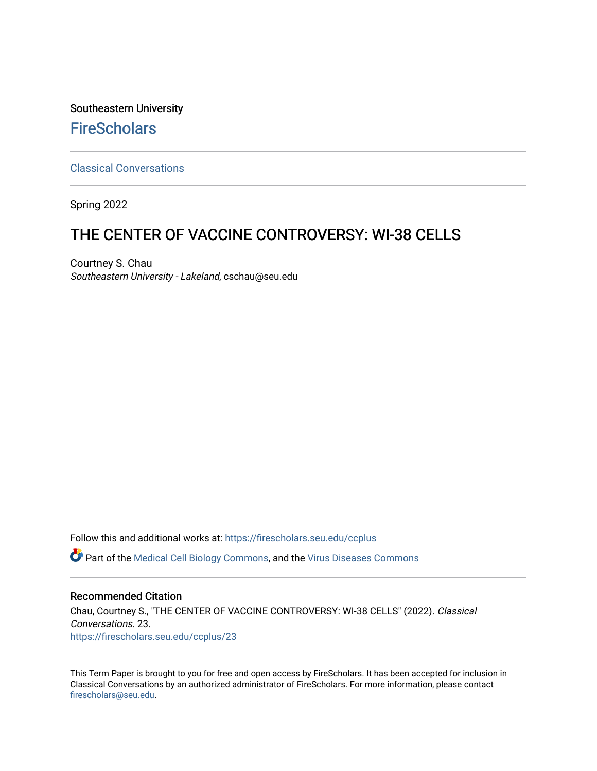Southeastern University **FireScholars** 

[Classical Conversations](https://firescholars.seu.edu/ccplus)

Spring 2022

# THE CENTER OF VACCINE CONTROVERSY: WI-38 CELLS

Courtney S. Chau Southeastern University - Lakeland, cschau@seu.edu

Follow this and additional works at: [https://firescholars.seu.edu/ccplus](https://firescholars.seu.edu/ccplus?utm_source=firescholars.seu.edu%2Fccplus%2F23&utm_medium=PDF&utm_campaign=PDFCoverPages)

Part of the [Medical Cell Biology Commons](https://network.bepress.com/hgg/discipline/669?utm_source=firescholars.seu.edu%2Fccplus%2F23&utm_medium=PDF&utm_campaign=PDFCoverPages), and the [Virus Diseases Commons](https://network.bepress.com/hgg/discipline/998?utm_source=firescholars.seu.edu%2Fccplus%2F23&utm_medium=PDF&utm_campaign=PDFCoverPages) 

#### Recommended Citation

Chau, Courtney S., "THE CENTER OF VACCINE CONTROVERSY: WI-38 CELLS" (2022). Classical Conversations. 23. [https://firescholars.seu.edu/ccplus/23](https://firescholars.seu.edu/ccplus/23?utm_source=firescholars.seu.edu%2Fccplus%2F23&utm_medium=PDF&utm_campaign=PDFCoverPages) 

This Term Paper is brought to you for free and open access by FireScholars. It has been accepted for inclusion in Classical Conversations by an authorized administrator of FireScholars. For more information, please contact [firescholars@seu.edu.](mailto:firescholars@seu.edu)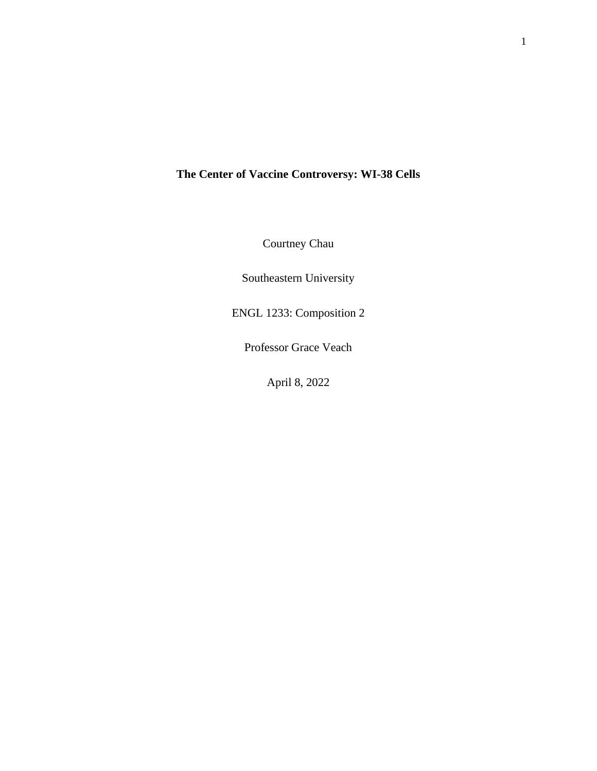## **The Center of Vaccine Controversy: WI-38 Cells**

Courtney Chau

Southeastern University

ENGL 1233: Composition 2

Professor Grace Veach

April 8, 2022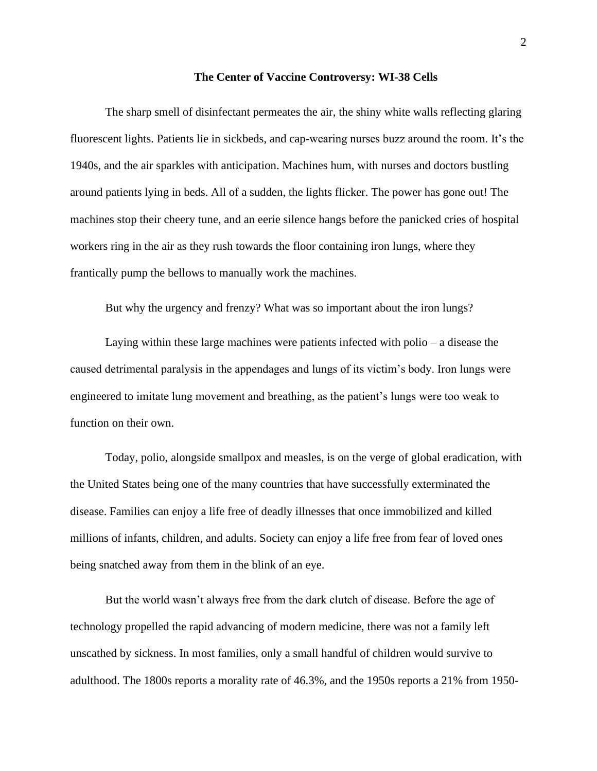#### **The Center of Vaccine Controversy: WI-38 Cells**

The sharp smell of disinfectant permeates the air, the shiny white walls reflecting glaring fluorescent lights. Patients lie in sickbeds, and cap-wearing nurses buzz around the room. It's the 1940s, and the air sparkles with anticipation. Machines hum, with nurses and doctors bustling around patients lying in beds. All of a sudden, the lights flicker. The power has gone out! The machines stop their cheery tune, and an eerie silence hangs before the panicked cries of hospital workers ring in the air as they rush towards the floor containing iron lungs, where they frantically pump the bellows to manually work the machines.

But why the urgency and frenzy? What was so important about the iron lungs?

Laying within these large machines were patients infected with polio – a disease the caused detrimental paralysis in the appendages and lungs of its victim's body. Iron lungs were engineered to imitate lung movement and breathing, as the patient's lungs were too weak to function on their own.

Today, polio, alongside smallpox and measles, is on the verge of global eradication, with the United States being one of the many countries that have successfully exterminated the disease. Families can enjoy a life free of deadly illnesses that once immobilized and killed millions of infants, children, and adults. Society can enjoy a life free from fear of loved ones being snatched away from them in the blink of an eye.

But the world wasn't always free from the dark clutch of disease. Before the age of technology propelled the rapid advancing of modern medicine, there was not a family left unscathed by sickness. In most families, only a small handful of children would survive to adulthood. The 1800s reports a morality rate of 46.3%, and the 1950s reports a 21% from 1950-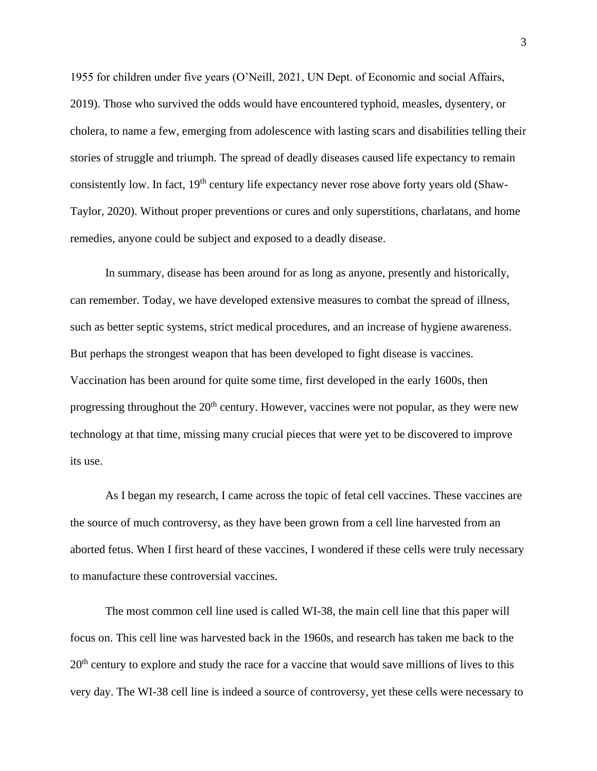1955 for children under five years (O'Neill, 2021, UN Dept. of Economic and social Affairs, 2019). Those who survived the odds would have encountered typhoid, measles, dysentery, or cholera, to name a few, emerging from adolescence with lasting scars and disabilities telling their stories of struggle and triumph. The spread of deadly diseases caused life expectancy to remain consistently low. In fact, 19<sup>th</sup> century life expectancy never rose above forty years old (Shaw-Taylor, 2020). Without proper preventions or cures and only superstitions, charlatans, and home remedies, anyone could be subject and exposed to a deadly disease.

In summary, disease has been around for as long as anyone, presently and historically, can remember. Today, we have developed extensive measures to combat the spread of illness, such as better septic systems, strict medical procedures, and an increase of hygiene awareness. But perhaps the strongest weapon that has been developed to fight disease is vaccines. Vaccination has been around for quite some time, first developed in the early 1600s, then progressing throughout the  $20<sup>th</sup>$  century. However, vaccines were not popular, as they were new technology at that time, missing many crucial pieces that were yet to be discovered to improve its use.

As I began my research, I came across the topic of fetal cell vaccines. These vaccines are the source of much controversy, as they have been grown from a cell line harvested from an aborted fetus. When I first heard of these vaccines, I wondered if these cells were truly necessary to manufacture these controversial vaccines.

The most common cell line used is called WI-38, the main cell line that this paper will focus on. This cell line was harvested back in the 1960s, and research has taken me back to the 20<sup>th</sup> century to explore and study the race for a vaccine that would save millions of lives to this very day. The WI-38 cell line is indeed a source of controversy, yet these cells were necessary to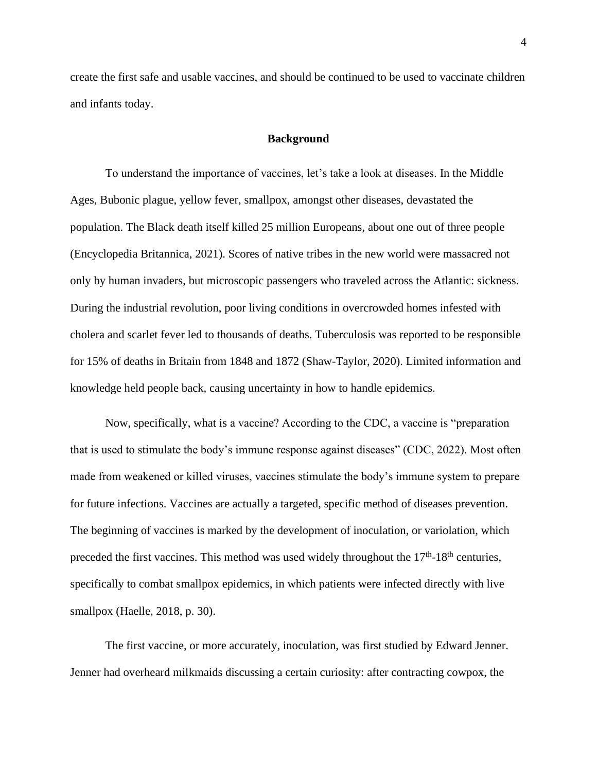create the first safe and usable vaccines, and should be continued to be used to vaccinate children and infants today.

#### **Background**

To understand the importance of vaccines, let's take a look at diseases. In the Middle Ages, Bubonic plague, yellow fever, smallpox, amongst other diseases, devastated the population. The Black death itself killed 25 million Europeans, about one out of three people (Encyclopedia Britannica, 2021). Scores of native tribes in the new world were massacred not only by human invaders, but microscopic passengers who traveled across the Atlantic: sickness. During the industrial revolution, poor living conditions in overcrowded homes infested with cholera and scarlet fever led to thousands of deaths. Tuberculosis was reported to be responsible for 15% of deaths in Britain from 1848 and 1872 (Shaw-Taylor, 2020). Limited information and knowledge held people back, causing uncertainty in how to handle epidemics.

Now, specifically, what is a vaccine? According to the CDC, a vaccine is "preparation that is used to stimulate the body's immune response against diseases" (CDC, 2022). Most often made from weakened or killed viruses, vaccines stimulate the body's immune system to prepare for future infections. Vaccines are actually a targeted, specific method of diseases prevention. The beginning of vaccines is marked by the development of inoculation, or variolation, which preceded the first vaccines. This method was used widely throughout the  $17<sup>th</sup>$ -18<sup>th</sup> centuries, specifically to combat smallpox epidemics, in which patients were infected directly with live smallpox (Haelle, 2018, p. 30).

The first vaccine, or more accurately, inoculation, was first studied by Edward Jenner. Jenner had overheard milkmaids discussing a certain curiosity: after contracting cowpox, the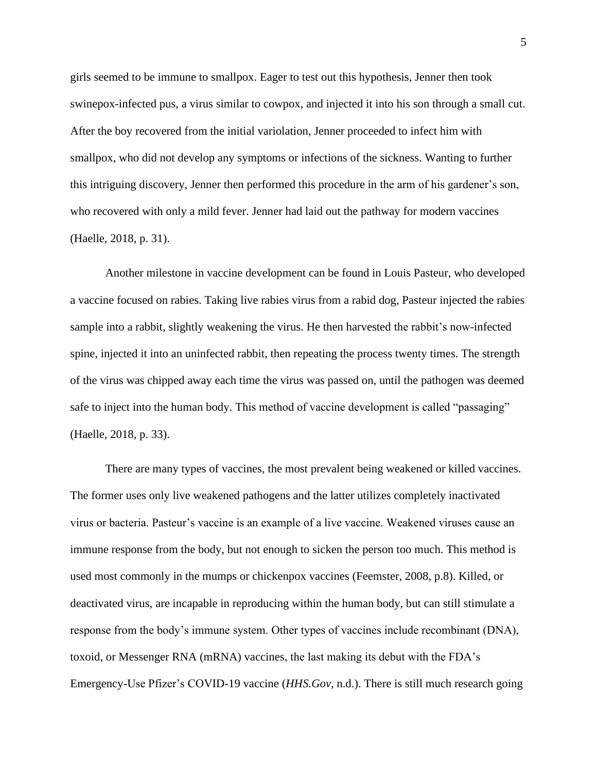girls seemed to be immune to smallpox. Eager to test out this hypothesis, Jenner then took swinepox-infected pus, a virus similar to cowpox, and injected it into his son through a small cut. After the boy recovered from the initial variolation, Jenner proceeded to infect him with smallpox, who did not develop any symptoms or infections of the sickness. Wanting to further this intriguing discovery, Jenner then performed this procedure in the arm of his gardener's son, who recovered with only a mild fever. Jenner had laid out the pathway for modern vaccines (Haelle, 2018, p. 31).

Another milestone in vaccine development can be found in Louis Pasteur, who developed a vaccine focused on rabies. Taking live rabies virus from a rabid dog, Pasteur injected the rabies sample into a rabbit, slightly weakening the virus. He then harvested the rabbit's now-infected spine, injected it into an uninfected rabbit, then repeating the process twenty times. The strength of the virus was chipped away each time the virus was passed on, until the pathogen was deemed safe to inject into the human body. This method of vaccine development is called "passaging" (Haelle, 2018, p. 33).

There are many types of vaccines, the most prevalent being weakened or killed vaccines. The former uses only live weakened pathogens and the latter utilizes completely inactivated virus or bacteria. Pasteur's vaccine is an example of a live vaccine. Weakened viruses cause an immune response from the body, but not enough to sicken the person too much. This method is used most commonly in the mumps or chickenpox vaccines (Feemster, 2008, p.8). Killed, or deactivated virus, are incapable in reproducing within the human body, but can still stimulate a response from the body's immune system. Other types of vaccines include recombinant (DNA), toxoid, or Messenger RNA (mRNA) vaccines, the last making its debut with the FDA's Emergency-Use Pfizer's COVID-19 vaccine (*HHS.Gov*, n.d.). There is still much research going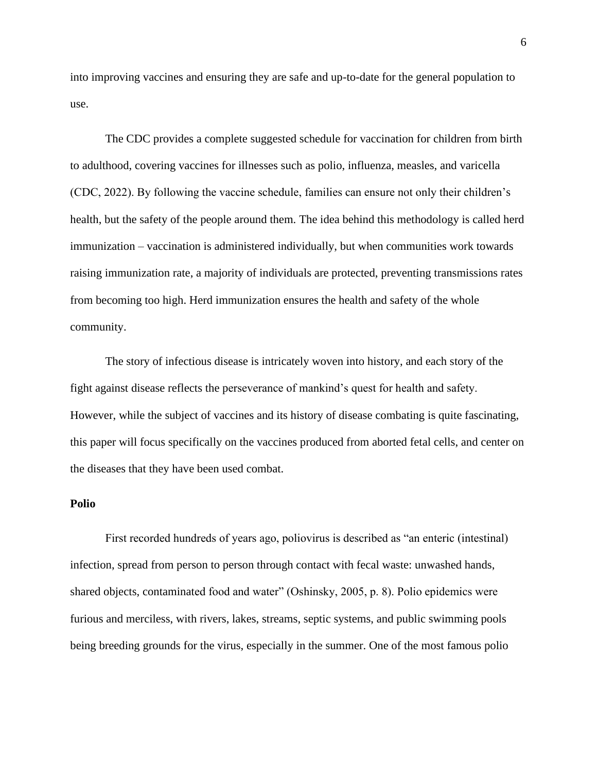into improving vaccines and ensuring they are safe and up-to-date for the general population to use.

The CDC provides a complete suggested schedule for vaccination for children from birth to adulthood, covering vaccines for illnesses such as polio, influenza, measles, and varicella (CDC, 2022). By following the vaccine schedule, families can ensure not only their children's health, but the safety of the people around them. The idea behind this methodology is called herd immunization – vaccination is administered individually, but when communities work towards raising immunization rate, a majority of individuals are protected, preventing transmissions rates from becoming too high. Herd immunization ensures the health and safety of the whole community.

The story of infectious disease is intricately woven into history, and each story of the fight against disease reflects the perseverance of mankind's quest for health and safety. However, while the subject of vaccines and its history of disease combating is quite fascinating, this paper will focus specifically on the vaccines produced from aborted fetal cells, and center on the diseases that they have been used combat.

### **Polio**

First recorded hundreds of years ago, poliovirus is described as "an enteric (intestinal) infection, spread from person to person through contact with fecal waste: unwashed hands, shared objects, contaminated food and water" (Oshinsky, 2005, p. 8). Polio epidemics were furious and merciless, with rivers, lakes, streams, septic systems, and public swimming pools being breeding grounds for the virus, especially in the summer. One of the most famous polio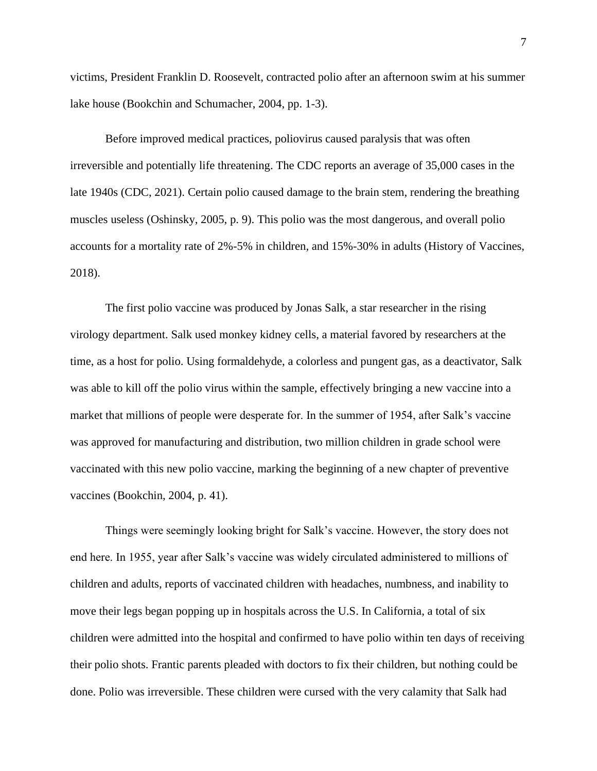victims, President Franklin D. Roosevelt, contracted polio after an afternoon swim at his summer lake house (Bookchin and Schumacher, 2004, pp. 1-3).

Before improved medical practices, poliovirus caused paralysis that was often irreversible and potentially life threatening. The CDC reports an average of 35,000 cases in the late 1940s (CDC, 2021). Certain polio caused damage to the brain stem, rendering the breathing muscles useless (Oshinsky, 2005, p. 9). This polio was the most dangerous, and overall polio accounts for a mortality rate of 2%-5% in children, and 15%-30% in adults (History of Vaccines, 2018).

The first polio vaccine was produced by Jonas Salk, a star researcher in the rising virology department. Salk used monkey kidney cells, a material favored by researchers at the time, as a host for polio. Using formaldehyde, a colorless and pungent gas, as a deactivator, Salk was able to kill off the polio virus within the sample, effectively bringing a new vaccine into a market that millions of people were desperate for. In the summer of 1954, after Salk's vaccine was approved for manufacturing and distribution, two million children in grade school were vaccinated with this new polio vaccine, marking the beginning of a new chapter of preventive vaccines (Bookchin, 2004, p. 41).

Things were seemingly looking bright for Salk's vaccine. However, the story does not end here. In 1955, year after Salk's vaccine was widely circulated administered to millions of children and adults, reports of vaccinated children with headaches, numbness, and inability to move their legs began popping up in hospitals across the U.S. In California, a total of six children were admitted into the hospital and confirmed to have polio within ten days of receiving their polio shots. Frantic parents pleaded with doctors to fix their children, but nothing could be done. Polio was irreversible. These children were cursed with the very calamity that Salk had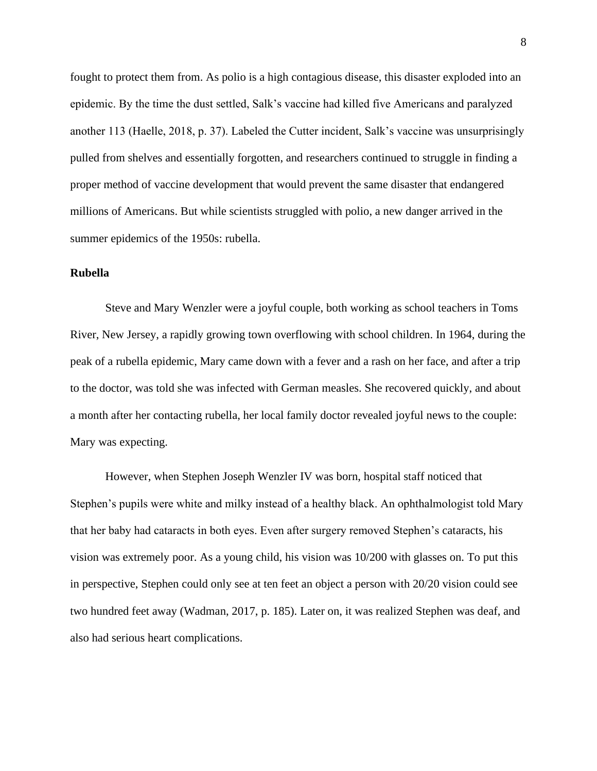fought to protect them from. As polio is a high contagious disease, this disaster exploded into an epidemic. By the time the dust settled, Salk's vaccine had killed five Americans and paralyzed another 113 (Haelle, 2018, p. 37). Labeled the Cutter incident, Salk's vaccine was unsurprisingly pulled from shelves and essentially forgotten, and researchers continued to struggle in finding a proper method of vaccine development that would prevent the same disaster that endangered millions of Americans. But while scientists struggled with polio, a new danger arrived in the summer epidemics of the 1950s: rubella.

#### **Rubella**

Steve and Mary Wenzler were a joyful couple, both working as school teachers in Toms River, New Jersey, a rapidly growing town overflowing with school children. In 1964, during the peak of a rubella epidemic, Mary came down with a fever and a rash on her face, and after a trip to the doctor, was told she was infected with German measles. She recovered quickly, and about a month after her contacting rubella, her local family doctor revealed joyful news to the couple: Mary was expecting.

However, when Stephen Joseph Wenzler IV was born, hospital staff noticed that Stephen's pupils were white and milky instead of a healthy black. An ophthalmologist told Mary that her baby had cataracts in both eyes. Even after surgery removed Stephen's cataracts, his vision was extremely poor. As a young child, his vision was 10/200 with glasses on. To put this in perspective, Stephen could only see at ten feet an object a person with 20/20 vision could see two hundred feet away (Wadman, 2017, p. 185). Later on, it was realized Stephen was deaf, and also had serious heart complications.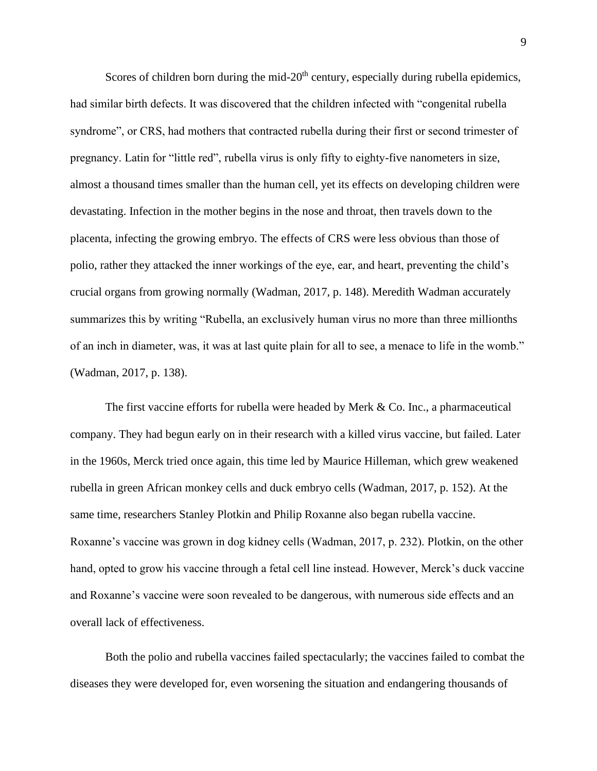Scores of children born during the mid-20<sup>th</sup> century, especially during rubella epidemics, had similar birth defects. It was discovered that the children infected with "congenital rubella syndrome", or CRS, had mothers that contracted rubella during their first or second trimester of pregnancy. Latin for "little red", rubella virus is only fifty to eighty-five nanometers in size, almost a thousand times smaller than the human cell, yet its effects on developing children were devastating. Infection in the mother begins in the nose and throat, then travels down to the placenta, infecting the growing embryo. The effects of CRS were less obvious than those of polio, rather they attacked the inner workings of the eye, ear, and heart, preventing the child's crucial organs from growing normally (Wadman, 2017, p. 148). Meredith Wadman accurately summarizes this by writing "Rubella, an exclusively human virus no more than three millionths of an inch in diameter, was, it was at last quite plain for all to see, a menace to life in the womb." (Wadman, 2017, p. 138).

The first vaccine efforts for rubella were headed by Merk & Co. Inc., a pharmaceutical company. They had begun early on in their research with a killed virus vaccine, but failed. Later in the 1960s, Merck tried once again, this time led by Maurice Hilleman, which grew weakened rubella in green African monkey cells and duck embryo cells (Wadman, 2017, p. 152). At the same time, researchers Stanley Plotkin and Philip Roxanne also began rubella vaccine. Roxanne's vaccine was grown in dog kidney cells (Wadman, 2017, p. 232). Plotkin, on the other hand, opted to grow his vaccine through a fetal cell line instead. However, Merck's duck vaccine and Roxanne's vaccine were soon revealed to be dangerous, with numerous side effects and an overall lack of effectiveness.

Both the polio and rubella vaccines failed spectacularly; the vaccines failed to combat the diseases they were developed for, even worsening the situation and endangering thousands of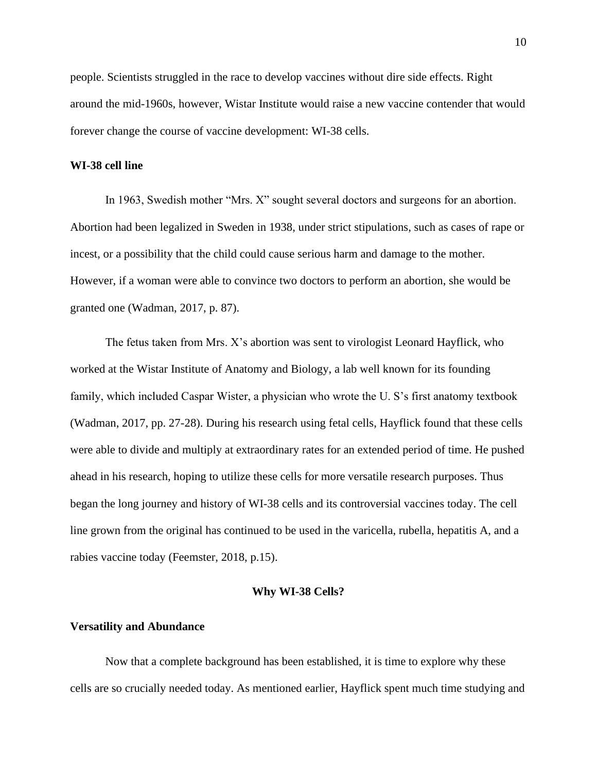people. Scientists struggled in the race to develop vaccines without dire side effects. Right around the mid-1960s, however, Wistar Institute would raise a new vaccine contender that would forever change the course of vaccine development: WI-38 cells.

#### **WI-38 cell line**

In 1963, Swedish mother "Mrs. X" sought several doctors and surgeons for an abortion. Abortion had been legalized in Sweden in 1938, under strict stipulations, such as cases of rape or incest, or a possibility that the child could cause serious harm and damage to the mother. However, if a woman were able to convince two doctors to perform an abortion, she would be granted one (Wadman, 2017, p. 87).

The fetus taken from Mrs. X's abortion was sent to virologist Leonard Hayflick, who worked at the Wistar Institute of Anatomy and Biology, a lab well known for its founding family, which included Caspar Wister, a physician who wrote the U. S's first anatomy textbook (Wadman, 2017, pp. 27-28). During his research using fetal cells, Hayflick found that these cells were able to divide and multiply at extraordinary rates for an extended period of time. He pushed ahead in his research, hoping to utilize these cells for more versatile research purposes. Thus began the long journey and history of WI-38 cells and its controversial vaccines today. The cell line grown from the original has continued to be used in the varicella, rubella, hepatitis A, and a rabies vaccine today (Feemster, 2018, p.15).

#### **Why WI-38 Cells?**

#### **Versatility and Abundance**

Now that a complete background has been established, it is time to explore why these cells are so crucially needed today. As mentioned earlier, Hayflick spent much time studying and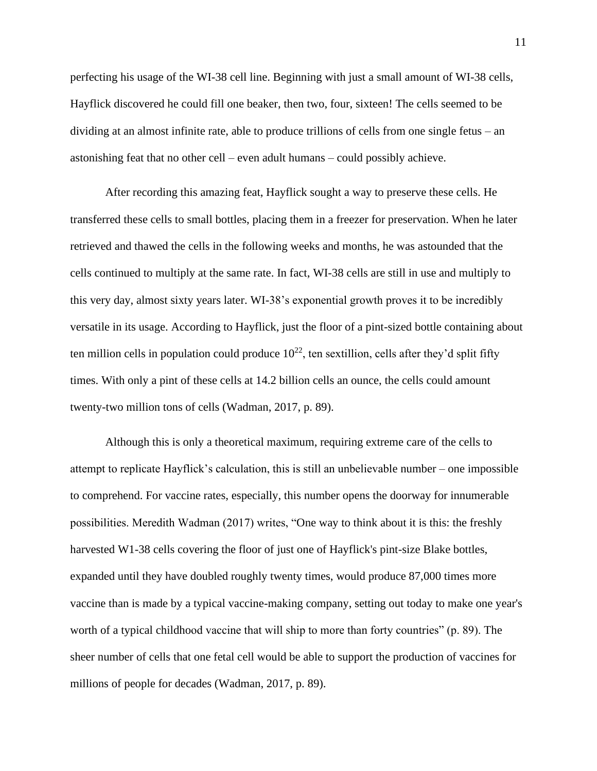perfecting his usage of the WI-38 cell line. Beginning with just a small amount of WI-38 cells, Hayflick discovered he could fill one beaker, then two, four, sixteen! The cells seemed to be dividing at an almost infinite rate, able to produce trillions of cells from one single fetus – an astonishing feat that no other cell – even adult humans – could possibly achieve.

After recording this amazing feat, Hayflick sought a way to preserve these cells. He transferred these cells to small bottles, placing them in a freezer for preservation. When he later retrieved and thawed the cells in the following weeks and months, he was astounded that the cells continued to multiply at the same rate. In fact, WI-38 cells are still in use and multiply to this very day, almost sixty years later. WI-38's exponential growth proves it to be incredibly versatile in its usage. According to Hayflick, just the floor of a pint-sized bottle containing about ten million cells in population could produce  $10^{22}$ , ten sextillion, cells after they'd split fifty times. With only a pint of these cells at 14.2 billion cells an ounce, the cells could amount twenty-two million tons of cells (Wadman, 2017, p. 89).

Although this is only a theoretical maximum, requiring extreme care of the cells to attempt to replicate Hayflick's calculation, this is still an unbelievable number – one impossible to comprehend. For vaccine rates, especially, this number opens the doorway for innumerable possibilities. Meredith Wadman (2017) writes, "One way to think about it is this: the freshly harvested W1-38 cells covering the floor of just one of Hayflick's pint-size Blake bottles, expanded until they have doubled roughly twenty times, would produce 87,000 times more vaccine than is made by a typical vaccine-making company, setting out today to make one year's worth of a typical childhood vaccine that will ship to more than forty countries" (p. 89). The sheer number of cells that one fetal cell would be able to support the production of vaccines for millions of people for decades (Wadman, 2017, p. 89).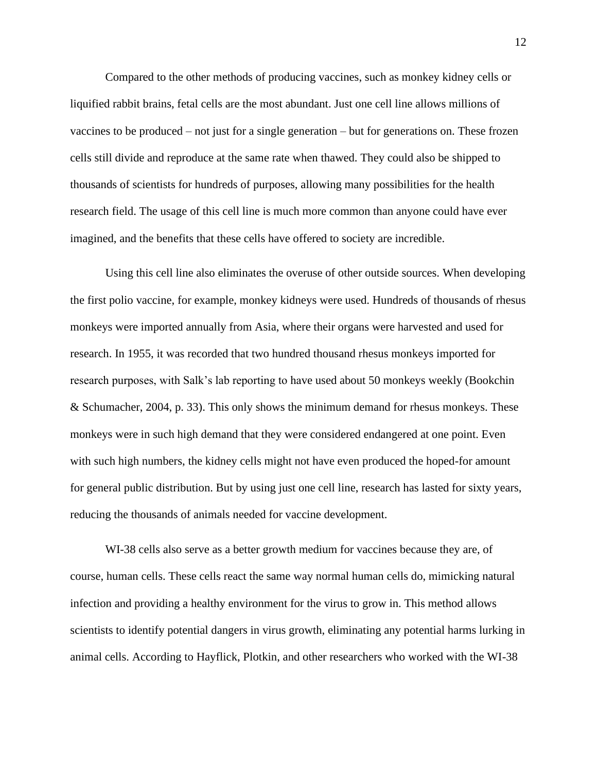Compared to the other methods of producing vaccines, such as monkey kidney cells or liquified rabbit brains, fetal cells are the most abundant. Just one cell line allows millions of vaccines to be produced – not just for a single generation – but for generations on. These frozen cells still divide and reproduce at the same rate when thawed. They could also be shipped to thousands of scientists for hundreds of purposes, allowing many possibilities for the health research field. The usage of this cell line is much more common than anyone could have ever imagined, and the benefits that these cells have offered to society are incredible.

Using this cell line also eliminates the overuse of other outside sources. When developing the first polio vaccine, for example, monkey kidneys were used. Hundreds of thousands of rhesus monkeys were imported annually from Asia, where their organs were harvested and used for research. In 1955, it was recorded that two hundred thousand rhesus monkeys imported for research purposes, with Salk's lab reporting to have used about 50 monkeys weekly (Bookchin & Schumacher, 2004, p. 33). This only shows the minimum demand for rhesus monkeys. These monkeys were in such high demand that they were considered endangered at one point. Even with such high numbers, the kidney cells might not have even produced the hoped-for amount for general public distribution. But by using just one cell line, research has lasted for sixty years, reducing the thousands of animals needed for vaccine development.

WI-38 cells also serve as a better growth medium for vaccines because they are, of course, human cells. These cells react the same way normal human cells do, mimicking natural infection and providing a healthy environment for the virus to grow in. This method allows scientists to identify potential dangers in virus growth, eliminating any potential harms lurking in animal cells. According to Hayflick, Plotkin, and other researchers who worked with the WI-38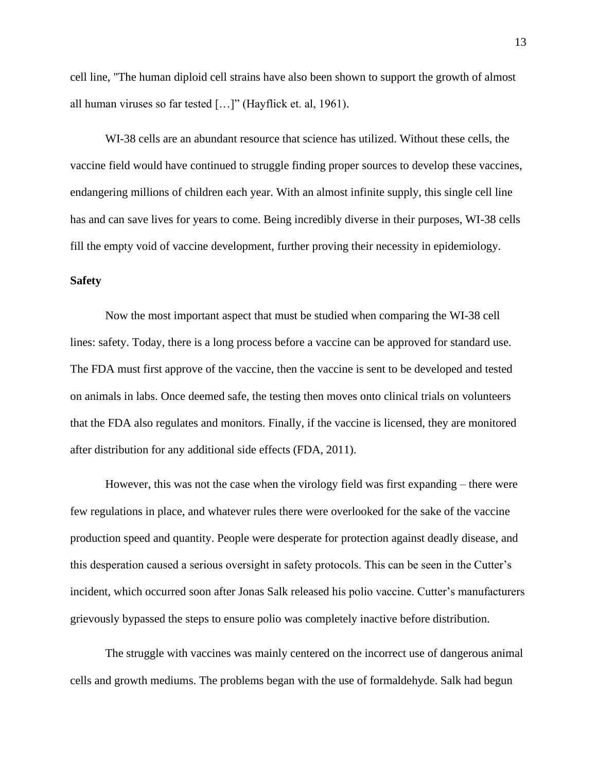cell line, "The human diploid cell strains have also been shown to support the growth of almost all human viruses so far tested […]" (Hayflick et. al, 1961).

WI-38 cells are an abundant resource that science has utilized. Without these cells, the vaccine field would have continued to struggle finding proper sources to develop these vaccines, endangering millions of children each year. With an almost infinite supply, this single cell line has and can save lives for years to come. Being incredibly diverse in their purposes, WI-38 cells fill the empty void of vaccine development, further proving their necessity in epidemiology.

#### **Safety**

Now the most important aspect that must be studied when comparing the WI-38 cell lines: safety. Today, there is a long process before a vaccine can be approved for standard use. The FDA must first approve of the vaccine, then the vaccine is sent to be developed and tested on animals in labs. Once deemed safe, the testing then moves onto clinical trials on volunteers that the FDA also regulates and monitors. Finally, if the vaccine is licensed, they are monitored after distribution for any additional side effects (FDA, 2011).

However, this was not the case when the virology field was first expanding – there were few regulations in place, and whatever rules there were overlooked for the sake of the vaccine production speed and quantity. People were desperate for protection against deadly disease, and this desperation caused a serious oversight in safety protocols. This can be seen in the Cutter's incident, which occurred soon after Jonas Salk released his polio vaccine. Cutter's manufacturers grievously bypassed the steps to ensure polio was completely inactive before distribution.

The struggle with vaccines was mainly centered on the incorrect use of dangerous animal cells and growth mediums. The problems began with the use of formaldehyde. Salk had begun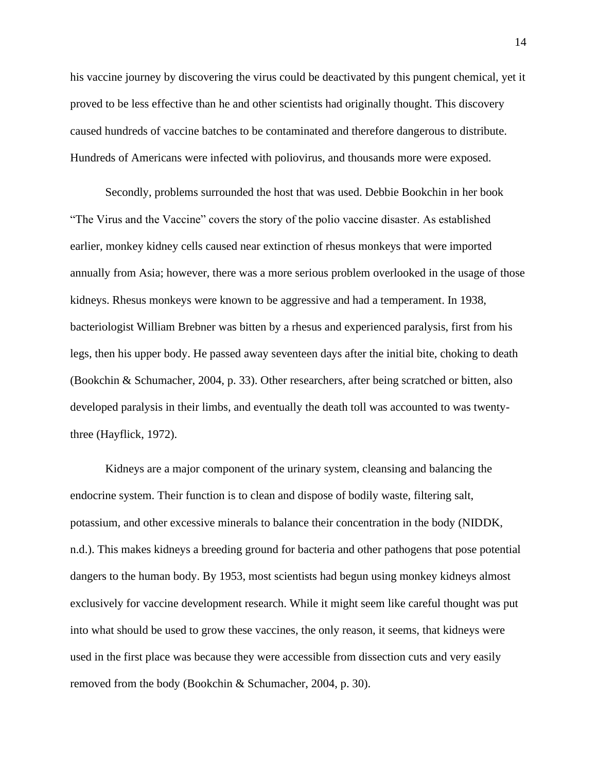his vaccine journey by discovering the virus could be deactivated by this pungent chemical, yet it proved to be less effective than he and other scientists had originally thought. This discovery caused hundreds of vaccine batches to be contaminated and therefore dangerous to distribute. Hundreds of Americans were infected with poliovirus, and thousands more were exposed.

Secondly, problems surrounded the host that was used. Debbie Bookchin in her book "The Virus and the Vaccine" covers the story of the polio vaccine disaster. As established earlier, monkey kidney cells caused near extinction of rhesus monkeys that were imported annually from Asia; however, there was a more serious problem overlooked in the usage of those kidneys. Rhesus monkeys were known to be aggressive and had a temperament. In 1938, bacteriologist William Brebner was bitten by a rhesus and experienced paralysis, first from his legs, then his upper body. He passed away seventeen days after the initial bite, choking to death (Bookchin & Schumacher, 2004, p. 33). Other researchers, after being scratched or bitten, also developed paralysis in their limbs, and eventually the death toll was accounted to was twentythree (Hayflick, 1972).

Kidneys are a major component of the urinary system, cleansing and balancing the endocrine system. Their function is to clean and dispose of bodily waste, filtering salt, potassium, and other excessive minerals to balance their concentration in the body (NIDDK, n.d.). This makes kidneys a breeding ground for bacteria and other pathogens that pose potential dangers to the human body. By 1953, most scientists had begun using monkey kidneys almost exclusively for vaccine development research. While it might seem like careful thought was put into what should be used to grow these vaccines, the only reason, it seems, that kidneys were used in the first place was because they were accessible from dissection cuts and very easily removed from the body (Bookchin & Schumacher, 2004, p. 30).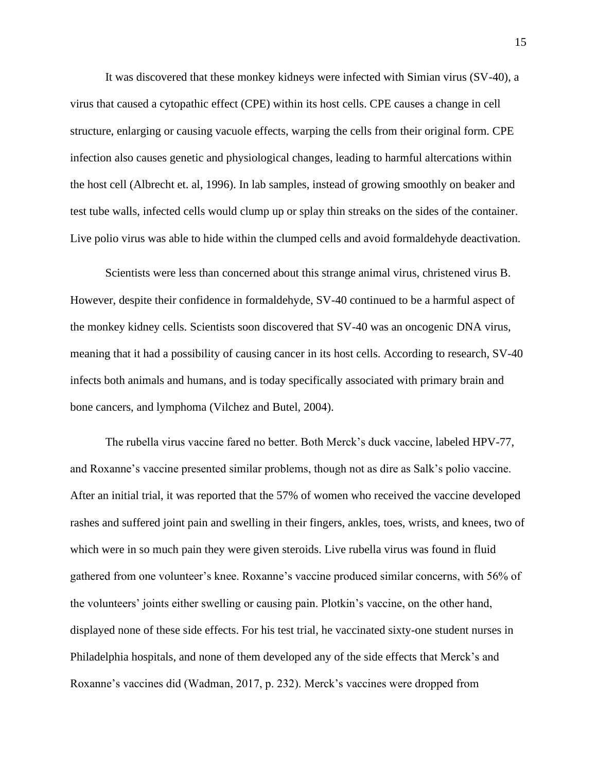It was discovered that these monkey kidneys were infected with Simian virus (SV-40), a virus that caused a cytopathic effect (CPE) within its host cells. CPE causes a change in cell structure, enlarging or causing vacuole effects, warping the cells from their original form. CPE infection also causes genetic and physiological changes, leading to harmful altercations within the host cell (Albrecht et. al, 1996). In lab samples, instead of growing smoothly on beaker and test tube walls, infected cells would clump up or splay thin streaks on the sides of the container. Live polio virus was able to hide within the clumped cells and avoid formaldehyde deactivation.

Scientists were less than concerned about this strange animal virus, christened virus B. However, despite their confidence in formaldehyde, SV-40 continued to be a harmful aspect of the monkey kidney cells. Scientists soon discovered that SV-40 was an oncogenic DNA virus, meaning that it had a possibility of causing cancer in its host cells. According to research, SV-40 infects both animals and humans, and is today specifically associated with primary brain and bone cancers, and lymphoma (Vilchez and Butel, 2004).

The rubella virus vaccine fared no better. Both Merck's duck vaccine, labeled HPV-77, and Roxanne's vaccine presented similar problems, though not as dire as Salk's polio vaccine. After an initial trial, it was reported that the 57% of women who received the vaccine developed rashes and suffered joint pain and swelling in their fingers, ankles, toes, wrists, and knees, two of which were in so much pain they were given steroids. Live rubella virus was found in fluid gathered from one volunteer's knee. Roxanne's vaccine produced similar concerns, with 56% of the volunteers' joints either swelling or causing pain. Plotkin's vaccine, on the other hand, displayed none of these side effects. For his test trial, he vaccinated sixty-one student nurses in Philadelphia hospitals, and none of them developed any of the side effects that Merck's and Roxanne's vaccines did (Wadman, 2017, p. 232). Merck's vaccines were dropped from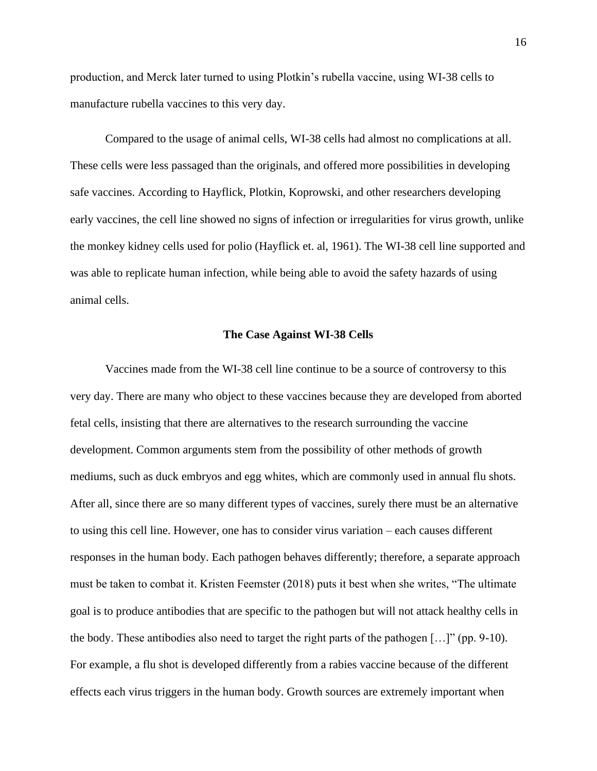production, and Merck later turned to using Plotkin's rubella vaccine, using WI-38 cells to manufacture rubella vaccines to this very day.

Compared to the usage of animal cells, WI-38 cells had almost no complications at all. These cells were less passaged than the originals, and offered more possibilities in developing safe vaccines. According to Hayflick, Plotkin, Koprowski, and other researchers developing early vaccines, the cell line showed no signs of infection or irregularities for virus growth, unlike the monkey kidney cells used for polio (Hayflick et. al, 1961). The WI-38 cell line supported and was able to replicate human infection, while being able to avoid the safety hazards of using animal cells.

#### **The Case Against WI-38 Cells**

Vaccines made from the WI-38 cell line continue to be a source of controversy to this very day. There are many who object to these vaccines because they are developed from aborted fetal cells, insisting that there are alternatives to the research surrounding the vaccine development. Common arguments stem from the possibility of other methods of growth mediums, such as duck embryos and egg whites, which are commonly used in annual flu shots. After all, since there are so many different types of vaccines, surely there must be an alternative to using this cell line. However, one has to consider virus variation – each causes different responses in the human body. Each pathogen behaves differently; therefore, a separate approach must be taken to combat it. Kristen Feemster (2018) puts it best when she writes, "The ultimate goal is to produce antibodies that are specific to the pathogen but will not attack healthy cells in the body. These antibodies also need to target the right parts of the pathogen […]" (pp. 9-10). For example, a flu shot is developed differently from a rabies vaccine because of the different effects each virus triggers in the human body. Growth sources are extremely important when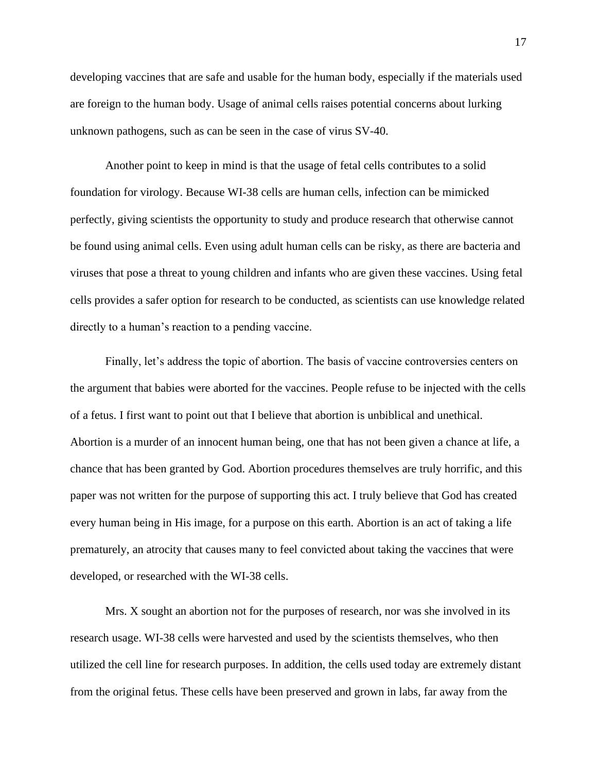developing vaccines that are safe and usable for the human body, especially if the materials used are foreign to the human body. Usage of animal cells raises potential concerns about lurking unknown pathogens, such as can be seen in the case of virus SV-40.

Another point to keep in mind is that the usage of fetal cells contributes to a solid foundation for virology. Because WI-38 cells are human cells, infection can be mimicked perfectly, giving scientists the opportunity to study and produce research that otherwise cannot be found using animal cells. Even using adult human cells can be risky, as there are bacteria and viruses that pose a threat to young children and infants who are given these vaccines. Using fetal cells provides a safer option for research to be conducted, as scientists can use knowledge related directly to a human's reaction to a pending vaccine.

Finally, let's address the topic of abortion. The basis of vaccine controversies centers on the argument that babies were aborted for the vaccines. People refuse to be injected with the cells of a fetus. I first want to point out that I believe that abortion is unbiblical and unethical. Abortion is a murder of an innocent human being, one that has not been given a chance at life, a chance that has been granted by God. Abortion procedures themselves are truly horrific, and this paper was not written for the purpose of supporting this act. I truly believe that God has created every human being in His image, for a purpose on this earth. Abortion is an act of taking a life prematurely, an atrocity that causes many to feel convicted about taking the vaccines that were developed, or researched with the WI-38 cells.

Mrs. X sought an abortion not for the purposes of research, nor was she involved in its research usage. WI-38 cells were harvested and used by the scientists themselves, who then utilized the cell line for research purposes. In addition, the cells used today are extremely distant from the original fetus. These cells have been preserved and grown in labs, far away from the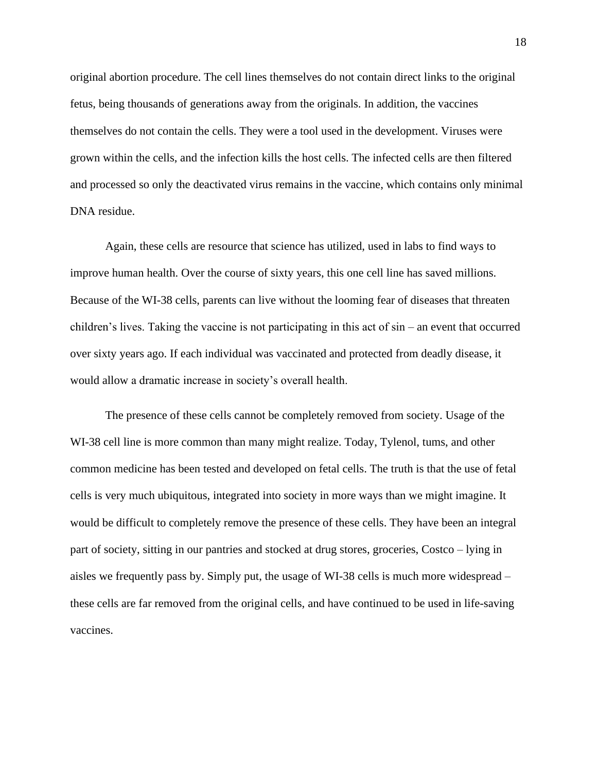original abortion procedure. The cell lines themselves do not contain direct links to the original fetus, being thousands of generations away from the originals. In addition, the vaccines themselves do not contain the cells. They were a tool used in the development. Viruses were grown within the cells, and the infection kills the host cells. The infected cells are then filtered and processed so only the deactivated virus remains in the vaccine, which contains only minimal DNA residue.

Again, these cells are resource that science has utilized, used in labs to find ways to improve human health. Over the course of sixty years, this one cell line has saved millions. Because of the WI-38 cells, parents can live without the looming fear of diseases that threaten children's lives. Taking the vaccine is not participating in this act of sin – an event that occurred over sixty years ago. If each individual was vaccinated and protected from deadly disease, it would allow a dramatic increase in society's overall health.

The presence of these cells cannot be completely removed from society. Usage of the WI-38 cell line is more common than many might realize. Today, Tylenol, tums, and other common medicine has been tested and developed on fetal cells. The truth is that the use of fetal cells is very much ubiquitous, integrated into society in more ways than we might imagine. It would be difficult to completely remove the presence of these cells. They have been an integral part of society, sitting in our pantries and stocked at drug stores, groceries, Costco – lying in aisles we frequently pass by. Simply put, the usage of WI-38 cells is much more widespread – these cells are far removed from the original cells, and have continued to be used in life-saving vaccines.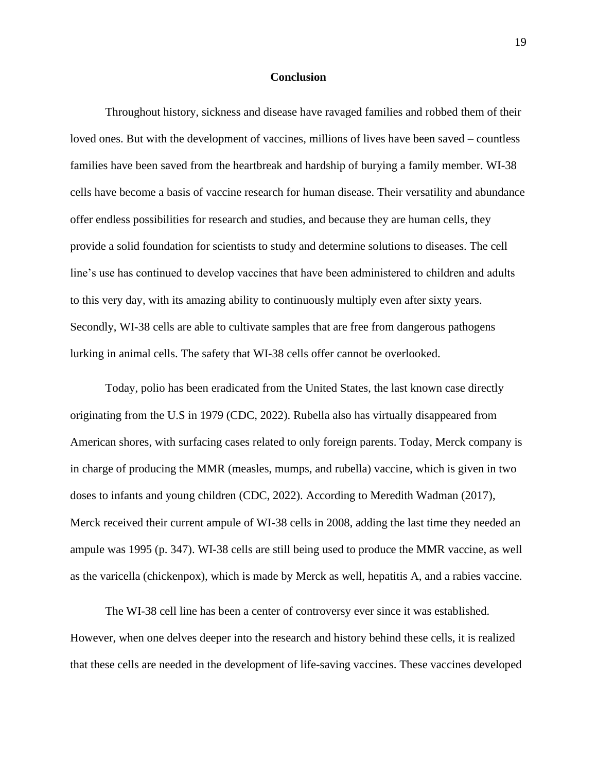#### **Conclusion**

Throughout history, sickness and disease have ravaged families and robbed them of their loved ones. But with the development of vaccines, millions of lives have been saved – countless families have been saved from the heartbreak and hardship of burying a family member. WI-38 cells have become a basis of vaccine research for human disease. Their versatility and abundance offer endless possibilities for research and studies, and because they are human cells, they provide a solid foundation for scientists to study and determine solutions to diseases. The cell line's use has continued to develop vaccines that have been administered to children and adults to this very day, with its amazing ability to continuously multiply even after sixty years. Secondly, WI-38 cells are able to cultivate samples that are free from dangerous pathogens lurking in animal cells. The safety that WI-38 cells offer cannot be overlooked.

Today, polio has been eradicated from the United States, the last known case directly originating from the U.S in 1979 (CDC, 2022). Rubella also has virtually disappeared from American shores, with surfacing cases related to only foreign parents. Today, Merck company is in charge of producing the MMR (measles, mumps, and rubella) vaccine, which is given in two doses to infants and young children (CDC, 2022). According to Meredith Wadman (2017), Merck received their current ampule of WI-38 cells in 2008, adding the last time they needed an ampule was 1995 (p. 347). WI-38 cells are still being used to produce the MMR vaccine, as well as the varicella (chickenpox), which is made by Merck as well, hepatitis A, and a rabies vaccine.

The WI-38 cell line has been a center of controversy ever since it was established. However, when one delves deeper into the research and history behind these cells, it is realized that these cells are needed in the development of life-saving vaccines. These vaccines developed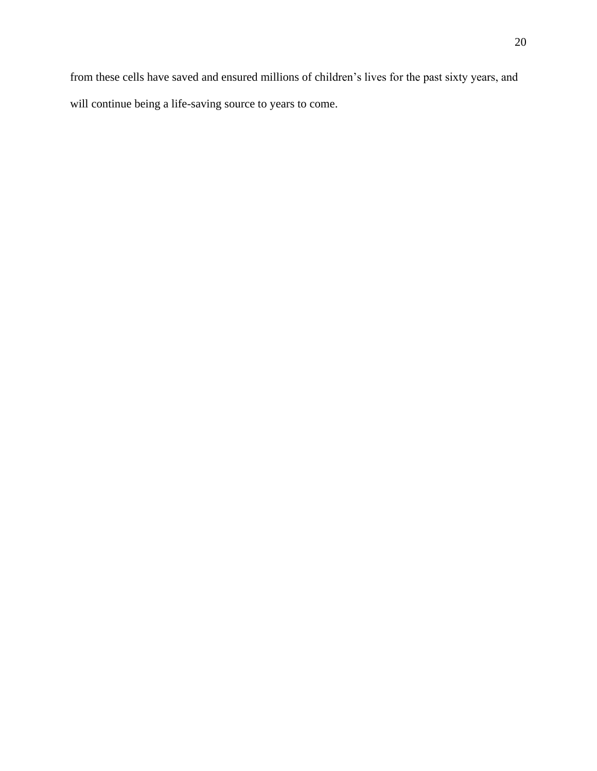from these cells have saved and ensured millions of children's lives for the past sixty years, and will continue being a life-saving source to years to come.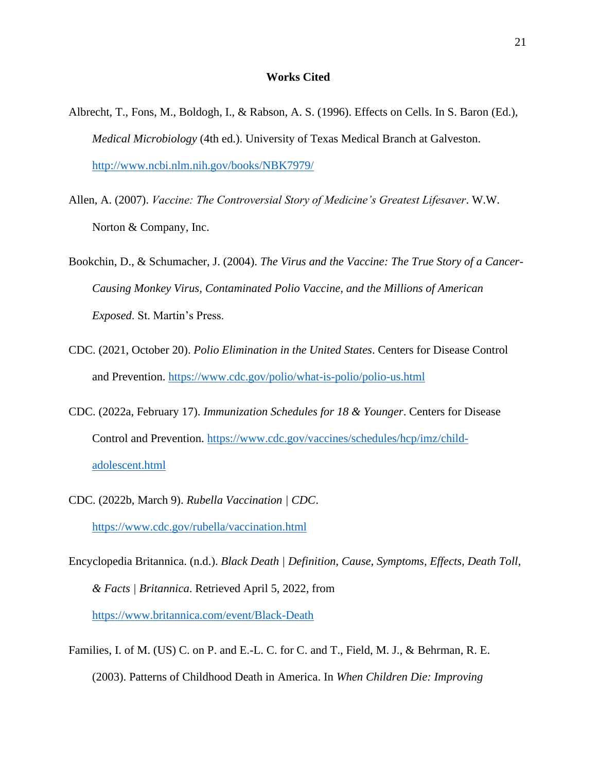#### **Works Cited**

- Albrecht, T., Fons, M., Boldogh, I., & Rabson, A. S. (1996). Effects on Cells. In S. Baron (Ed.), *Medical Microbiology* (4th ed.). University of Texas Medical Branch at Galveston. <http://www.ncbi.nlm.nih.gov/books/NBK7979/>
- Allen, A. (2007). *Vaccine: The Controversial Story of Medicine's Greatest Lifesaver*. W.W. Norton & Company, Inc.
- Bookchin, D., & Schumacher, J. (2004). *The Virus and the Vaccine: The True Story of a Cancer-Causing Monkey Virus, Contaminated Polio Vaccine, and the Millions of American Exposed*. St. Martin's Press.
- CDC. (2021, October 20). *Polio Elimination in the United States*. Centers for Disease Control and Prevention.<https://www.cdc.gov/polio/what-is-polio/polio-us.html>
- CDC. (2022a, February 17). *Immunization Schedules for 18 & Younger*. Centers for Disease Control and Prevention. [https://www.cdc.gov/vaccines/schedules/hcp/imz/child](https://www.cdc.gov/vaccines/schedules/hcp/imz/child-adolescent.html)[adolescent.html](https://www.cdc.gov/vaccines/schedules/hcp/imz/child-adolescent.html)
- CDC. (2022b, March 9). *Rubella Vaccination | CDC*. <https://www.cdc.gov/rubella/vaccination.html>
- Encyclopedia Britannica. (n.d.). *Black Death | Definition, Cause, Symptoms, Effects, Death Toll, & Facts | Britannica*. Retrieved April 5, 2022, from <https://www.britannica.com/event/Black-Death>
- Families, I. of M. (US) C. on P. and E.-L. C. for C. and T., Field, M. J., & Behrman, R. E. (2003). Patterns of Childhood Death in America. In *When Children Die: Improving*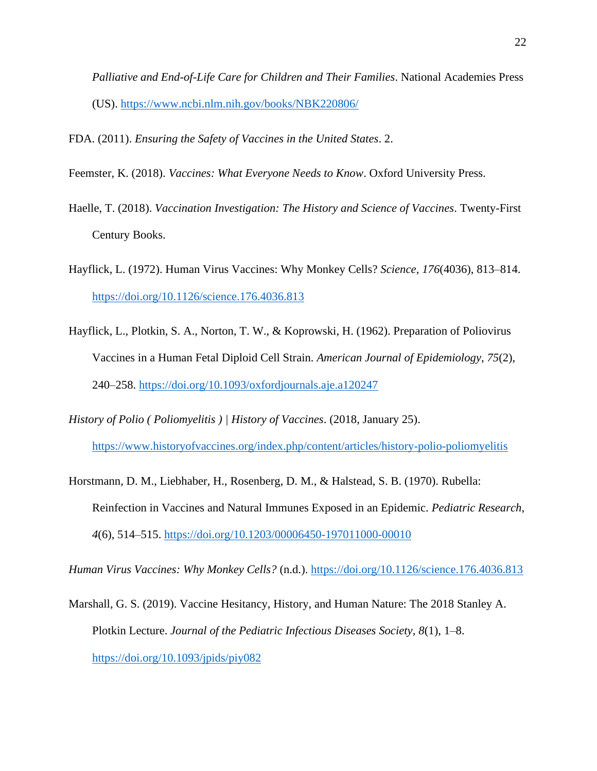*Palliative and End-of-Life Care for Children and Their Families*. National Academies Press (US).<https://www.ncbi.nlm.nih.gov/books/NBK220806/>

FDA. (2011). *Ensuring the Safety of Vaccines in the United States*. 2.

- Feemster, K. (2018). *Vaccines: What Everyone Needs to Know*. Oxford University Press.
- Haelle, T. (2018). *Vaccination Investigation: The History and Science of Vaccines*. Twenty-First Century Books.
- Hayflick, L. (1972). Human Virus Vaccines: Why Monkey Cells? *Science*, *176*(4036), 813–814. <https://doi.org/10.1126/science.176.4036.813>
- Hayflick, L., Plotkin, S. A., Norton, T. W., & Koprowski, H. (1962). Preparation of Poliovirus Vaccines in a Human Fetal Diploid Cell Strain. *American Journal of Epidemiology*, *75*(2), 240–258.<https://doi.org/10.1093/oxfordjournals.aje.a120247>
- *History of Polio ( Poliomyelitis ) | History of Vaccines*. (2018, January 25). <https://www.historyofvaccines.org/index.php/content/articles/history-polio-poliomyelitis>
- Horstmann, D. M., Liebhaber, H., Rosenberg, D. M., & Halstead, S. B. (1970). Rubella: Reinfection in Vaccines and Natural Immunes Exposed in an Epidemic. *Pediatric Research*, *4*(6), 514–515.<https://doi.org/10.1203/00006450-197011000-00010>

*Human Virus Vaccines: Why Monkey Cells?* (n.d.).<https://doi.org/10.1126/science.176.4036.813>

Marshall, G. S. (2019). Vaccine Hesitancy, History, and Human Nature: The 2018 Stanley A. Plotkin Lecture. *Journal of the Pediatric Infectious Diseases Society*, *8*(1), 1–8. <https://doi.org/10.1093/jpids/piy082>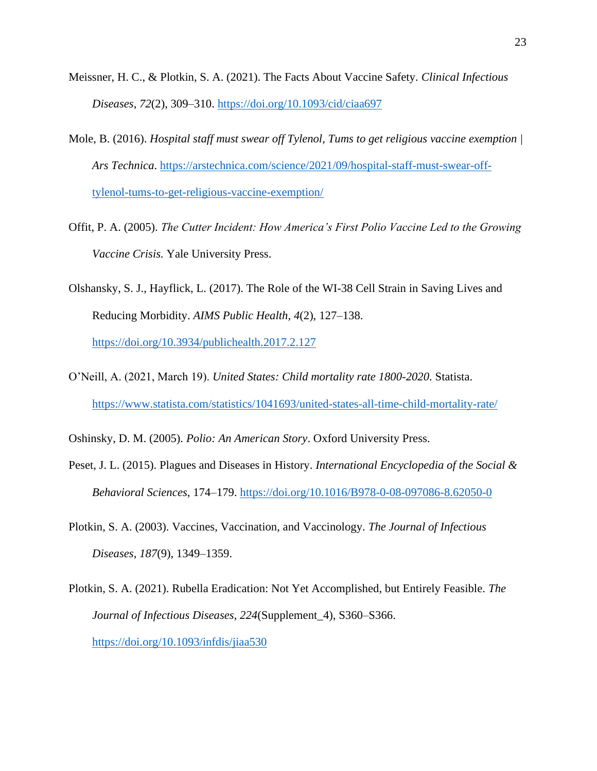- Meissner, H. C., & Plotkin, S. A. (2021). The Facts About Vaccine Safety. *Clinical Infectious Diseases*, *72*(2), 309–310.<https://doi.org/10.1093/cid/ciaa697>
- Mole, B. (2016). *Hospital staff must swear off Tylenol, Tums to get religious vaccine exemption | Ars Technica*. [https://arstechnica.com/science/2021/09/hospital-staff-must-swear-off](https://arstechnica.com/science/2021/09/hospital-staff-must-swear-off-tylenol-tums-to-get-religious-vaccine-exemption/)[tylenol-tums-to-get-religious-vaccine-exemption/](https://arstechnica.com/science/2021/09/hospital-staff-must-swear-off-tylenol-tums-to-get-religious-vaccine-exemption/)
- Offit, P. A. (2005). *The Cutter Incident: How America's First Polio Vaccine Led to the Growing Vaccine Crisis.* Yale University Press.
- Olshansky, S. J., Hayflick, L. (2017). The Role of the WI-38 Cell Strain in Saving Lives and Reducing Morbidity. *AIMS Public Health*, *4*(2), 127–138. <https://doi.org/10.3934/publichealth.2017.2.127>
- O'Neill, A. (2021, March 19). *United States: Child mortality rate 1800-2020*. Statista. <https://www.statista.com/statistics/1041693/united-states-all-time-child-mortality-rate/>

Oshinsky, D. M. (2005). *Polio: An American Story*. Oxford University Press.

- Peset, J. L. (2015). Plagues and Diseases in History. *International Encyclopedia of the Social & Behavioral Sciences*, 174–179.<https://doi.org/10.1016/B978-0-08-097086-8.62050-0>
- Plotkin, S. A. (2003). Vaccines, Vaccination, and Vaccinology. *The Journal of Infectious Diseases*, *187*(9), 1349–1359.

Plotkin, S. A. (2021). Rubella Eradication: Not Yet Accomplished, but Entirely Feasible. *The Journal of Infectious Diseases*, *224*(Supplement\_4), S360–S366. <https://doi.org/10.1093/infdis/jiaa530>